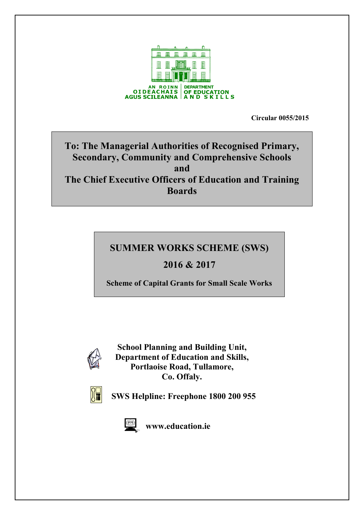

**Circular 0055/2015**

# **To: The Managerial Authorities of Recognised Primary, Secondary, Community and Comprehensive Schools and The Chief Executive Officers of Education and Training Boards**

# **SUMMER WORKS SCHEME (SWS)**

# **2016 & 2017**

**Scheme of Capital Grants for Small Scale Works**



**School Planning and Building Unit, Department of Education and Skills, Portlaoise Road, Tullamore, Co. Offaly.**



**SWS Helpline: Freephone 1800 200 955** 



 **[www.education.ie](http://www.education.ie/)**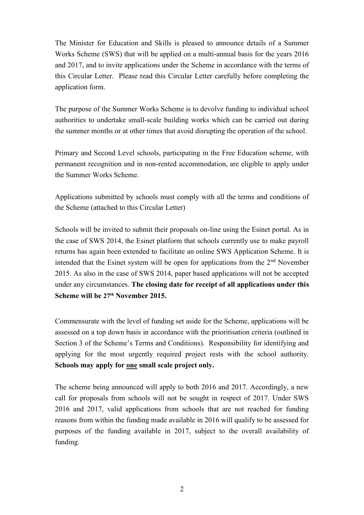The Minister for Education and Skills is pleased to announce details of a Summer Works Scheme (SWS) that will be applied on a multi-annual basis for the years 2016 and 2017, and to invite applications under the Scheme in accordance with the terms of this Circular Letter. Please read this Circular Letter carefully before completing the application form.

The purpose of the Summer Works Scheme is to devolve funding to individual school authorities to undertake small-scale building works which can be carried out during the summer months or at other times that avoid disrupting the operation of the school.

Primary and Second Level schools, participating in the Free Education scheme, with permanent recognition and in non-rented accommodation, are eligible to apply under the Summer Works Scheme.

Applications submitted by schools must comply with all the terms and conditions of the Scheme (attached to this Circular Letter)

Schools will be invited to submit their proposals on-line using the Esinet portal. As in the case of SWS 2014, the Esinet platform that schools currently use to make payroll returns has again been extended to facilitate an online SWS Application Scheme. It is intended that the Esinet system will be open for applications from the  $2<sup>nd</sup>$  November 2015. As also in the case of SWS 2014, paper based applications will not be accepted under any circumstances. **The closing date for receipt of all applications under this Scheme will be 27th November 2015.**

Commensurate with the level of funding set aside for the Scheme, applications will be assessed on a top down basis in accordance with the prioritisation criteria (outlined in Section 3 of the Scheme's Terms and Conditions). Responsibility for identifying and applying for the most urgently required project rests with the school authority. **Schools may apply for one small scale project only.**

The scheme being announced will apply to both 2016 and 2017. Accordingly, a new call for proposals from schools will not be sought in respect of 2017. Under SWS 2016 and 2017, valid applications from schools that are not reached for funding reasons from within the funding made available in 2016 will qualify to be assessed for purposes of the funding available in 2017, subject to the overall availability of funding.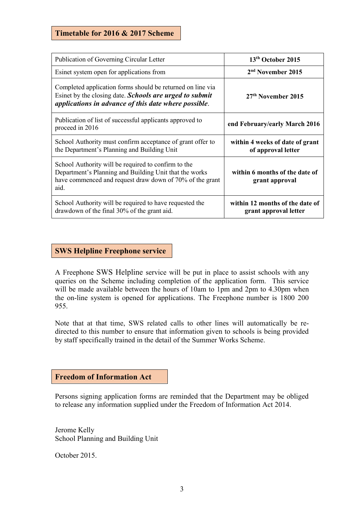# **Timetable for 2016 & 2017 Scheme**

| Publication of Governing Circular Letter                                                                                                                                             | 13 <sup>th</sup> October 2015                            |
|--------------------------------------------------------------------------------------------------------------------------------------------------------------------------------------|----------------------------------------------------------|
| Esinet system open for applications from                                                                                                                                             | 2 <sup>nd</sup> November 2015                            |
| Completed application forms should be returned on line via<br>Esinet by the closing date. <b>Schools are urged to submit</b><br>applications in advance of this date where possible. | $27th$ November 2015                                     |
| Publication of list of successful applicants approved to<br>proceed in 2016                                                                                                          | end February/early March 2016                            |
| School Authority must confirm acceptance of grant offer to<br>the Department's Planning and Building Unit                                                                            | within 4 weeks of date of grant<br>of approval letter    |
| School Authority will be required to confirm to the<br>Department's Planning and Building Unit that the works<br>have commenced and request draw down of 70% of the grant<br>aid.    | within 6 months of the date of<br>grant approval         |
| School Authority will be required to have requested the<br>drawdown of the final 30% of the grant aid.                                                                               | within 12 months of the date of<br>grant approval letter |

## **SWS Helpline Freephone service**

A Freephone SWS Helpline service will be put in place to assist schools with any queries on the Scheme including completion of the application form. This service will be made available between the hours of 10am to 1pm and 2pm to 4.30pm when the on-line system is opened for applications. The Freephone number is 1800 200 955.

Note that at that time, SWS related calls to other lines will automatically be redirected to this number to ensure that information given to schools is being provided by staff specifically trained in the detail of the Summer Works Scheme.

#### **Freedom of Information Act**

Persons signing application forms are reminded that the Department may be obliged to release any information supplied under the Freedom of Information Act 2014.

Jerome Kelly School Planning and Building Unit

October 2015.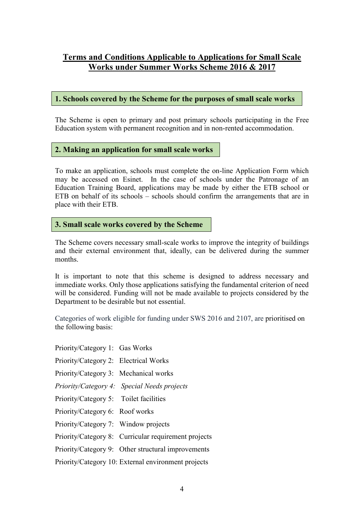# **Terms and Conditions Applicable to Applications for Small Scale Works under Summer Works Scheme 2016 & 2017**

## **1. Schools covered by the Scheme for the purposes of small scale works**

The Scheme is open to primary and post primary schools participating in the Free Education system with permanent recognition and in non-rented accommodation.

## **2. Making an application for small scale works**

To make an application, schools must complete the on-line Application Form which may be accessed on Esinet. In the case of schools under the Patronage of an Education Training Board, applications may be made by either the ETB school or ETB on behalf of its schools – schools should confirm the arrangements that are in place with their ETB.

## **3. Small scale works covered by the Scheme**

The Scheme covers necessary small-scale works to improve the integrity of buildings and their external environment that, ideally, can be delivered during the summer months.

It is important to note that this scheme is designed to address necessary and immediate works. Only those applications satisfying the fundamental criterion of need will be considered. Funding will not be made available to projects considered by the Department to be desirable but not essential.

Categories of work eligible for funding under SWS 2016 and 2107, are prioritised on the following basis:

Priority/Category 1: Gas Works

- Priority/Category 2: Electrical Works
- Priority/Category 3: Mechanical works
- *Priority/Category 4: Special Needs projects*
- Priority/Category 5: Toilet facilities
- Priority/Category 6: Roof works
- Priority/Category 7: Window projects
- Priority/Category 8: Curricular requirement projects
- Priority/Category 9: Other structural improvements

Priority/Category 10: External environment projects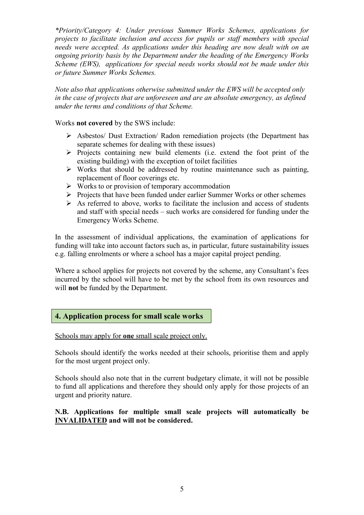*\*Priority/Category 4: Under previous Summer Works Schemes, applications for projects to facilitate inclusion and access for pupils or staff members with special needs were accepted. As applications under this heading are now dealt with on an ongoing priority basis by the Department under the heading of the Emergency Works Scheme (EWS), applications for special needs works should not be made under this or future Summer Works Schemes.*

*Note also that applications otherwise submitted under the EWS will be accepted only in the case of projects that are unforeseen and are an absolute emergency, as defined under the terms and conditions of that Scheme.*

Works **not covered** by the SWS include:

- Asbestos/ Dust Extraction/ Radon remediation projects (the Department has separate schemes for dealing with these issues)
- $\triangleright$  Projects containing new build elements (i.e. extend the foot print of the existing building) with the exception of toilet facilities
- $\triangleright$  Works that should be addressed by routine maintenance such as painting, replacement of floor coverings etc.
- $\triangleright$  Works to or provision of temporary accommodation
- $\triangleright$  Projects that have been funded under earlier Summer Works or other schemes
- $\triangleright$  As referred to above, works to facilitate the inclusion and access of students and staff with special needs – such works are considered for funding under the Emergency Works Scheme.

In the assessment of individual applications, the examination of applications for funding will take into account factors such as, in particular, future sustainability issues e.g. falling enrolments or where a school has a major capital project pending.

Where a school applies for projects not covered by the scheme, any Consultant's fees incurred by the school will have to be met by the school from its own resources and will **not** be funded by the Department.

#### **4. Application process for small scale works**

Schools may apply for **one** small scale project only.

Schools should identify the works needed at their schools, prioritise them and apply for the most urgent project only.

Schools should also note that in the current budgetary climate, it will not be possible to fund all applications and therefore they should only apply for those projects of an urgent and priority nature.

#### **N.B. Applications for multiple small scale projects will automatically be INVALIDATED and will not be considered.**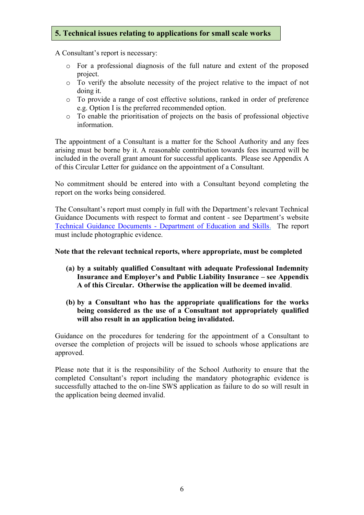# **5. Technical issues relating to applications for small scale works**

A Consultant's report is necessary:

- o For a professional diagnosis of the full nature and extent of the proposed project.
- o To verify the absolute necessity of the project relative to the impact of not doing it.
- o To provide a range of cost effective solutions, ranked in order of preference e.g. Option I is the preferred recommended option.
- o To enable the prioritisation of projects on the basis of professional objective information.

The appointment of a Consultant is a matter for the School Authority and any fees arising must be borne by it. A reasonable contribution towards fees incurred will be included in the overall grant amount for successful applicants. Please see Appendix A of this Circular Letter for guidance on the appointment of a Consultant.

No commitment should be entered into with a Consultant beyond completing the report on the works being considered.

The Consultant's report must comply in full with the Department's relevant Technical Guidance Documents with respect to format and content - see Department's website Technical Guidance Documents - [Department of Education and Skills.](http://www.education.ie/en/School-Design/Technical-Guidance-Documents/) The report must include photographic evidence.

#### **Note that the relevant technical reports, where appropriate, must be completed**

- **(a) by a suitably qualified Consultant with adequate Professional Indemnity Insurance and Employer's and Public Liability Insurance – see Appendix A of this Circular. Otherwise the application will be deemed invalid**.
- **(b) by a Consultant who has the appropriate qualifications for the works being considered as the use of a Consultant not appropriately qualified will also result in an application being invalidated.**

Guidance on the procedures for tendering for the appointment of a Consultant to oversee the completion of projects will be issued to schools whose applications are approved.

Please note that it is the responsibility of the School Authority to ensure that the completed Consultant's report including the mandatory photographic evidence is successfully attached to the on-line SWS application as failure to do so will result in the application being deemed invalid.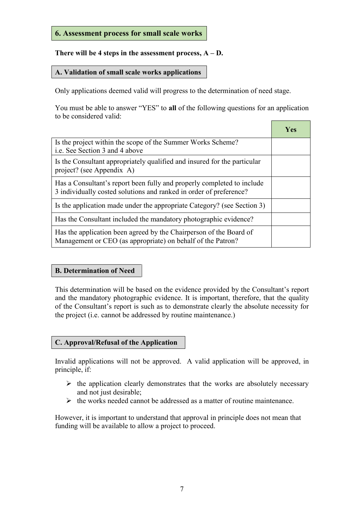# **6. Assessment process for small scale works**

# **There will be 4 steps in the assessment process, A – D.**

### **A. Validation of small scale works applications**

Only applications deemed valid will progress to the determination of need stage.

You must be able to answer "YES" to **all** of the following questions for an application to be considered valid:

|                                                                                                                                              | Yes |
|----------------------------------------------------------------------------------------------------------------------------------------------|-----|
| Is the project within the scope of the Summer Works Scheme?<br>i.e. See Section 3 and 4 above                                                |     |
| Is the Consultant appropriately qualified and insured for the particular<br>project? (see Appendix A)                                        |     |
| Has a Consultant's report been fully and properly completed to include<br>3 individually costed solutions and ranked in order of preference? |     |
| Is the application made under the appropriate Category? (see Section 3)                                                                      |     |
| Has the Consultant included the mandatory photographic evidence?                                                                             |     |
| Has the application been agreed by the Chairperson of the Board of<br>Management or CEO (as appropriate) on behalf of the Patron?            |     |

# **B. Determination of Need**

This determination will be based on the evidence provided by the Consultant's report and the mandatory photographic evidence. It is important, therefore, that the quality of the Consultant's report is such as to demonstrate clearly the absolute necessity for the project (i.e. cannot be addressed by routine maintenance.)

#### **C. Approval/Refusal of the Application**

Invalid applications will not be approved. A valid application will be approved, in principle, if:

- $\triangleright$  the application clearly demonstrates that the works are absolutely necessary and not just desirable;
- $\triangleright$  the works needed cannot be addressed as a matter of routine maintenance.

However, it is important to understand that approval in principle does not mean that funding will be available to allow a project to proceed.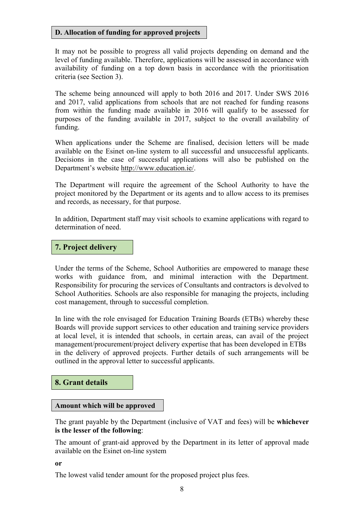#### **D. Allocation of funding for approved projects**

It may not be possible to progress all valid projects depending on demand and the level of funding available. Therefore, applications will be assessed in accordance with availability of funding on a top down basis in accordance with the prioritisation criteria (see Section 3).

The scheme being announced will apply to both 2016 and 2017. Under SWS 2016 and 2017, valid applications from schools that are not reached for funding reasons from within the funding made available in 2016 will qualify to be assessed for purposes of the funding available in 2017, subject to the overall availability of funding.

When applications under the Scheme are finalised, decision letters will be made available on the Esinet on-line system to all successful and unsuccessful applicants. Decisions in the case of successful applications will also be published on the Department's website [http://www.education.ie/.](http://www.education.ie/)

The Department will require the agreement of the School Authority to have the project monitored by the Department or its agents and to allow access to its premises and records, as necessary, for that purpose.

In addition, Department staff may visit schools to examine applications with regard to determination of need.

#### **7. Project delivery**

Under the terms of the Scheme, School Authorities are empowered to manage these works with guidance from, and minimal interaction with the Department. Responsibility for procuring the services of Consultants and contractors is devolved to School Authorities. Schools are also responsible for managing the projects, including cost management, through to successful completion.

In line with the role envisaged for Education Training Boards (ETBs) whereby these Boards will provide support services to other education and training service providers at local level, it is intended that schools, in certain areas, can avail of the project management/procurement/project delivery expertise that has been developed in ETBs in the delivery of approved projects. Further details of such arrangements will be outlined in the approval letter to successful applicants.

#### **8. Grant details**

#### **Amount which will be approved**

The grant payable by the Department (inclusive of VAT and fees) will be **whichever is the lesser of the following**:

The amount of grant-aid approved by the Department in its letter of approval made available on the Esinet on-line system

**or**

The lowest valid tender amount for the proposed project plus fees.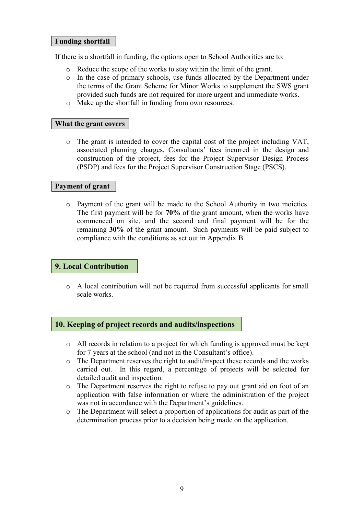#### **Funding shortfall**

If there is a shortfall in funding, the options open to School Authorities are to:

- o Reduce the scope of the works to stay within the limit of the grant.
- o In the case of primary schools, use funds allocated by the Department under the terms of the Grant Scheme for Minor Works to supplement the SWS grant provided such funds are not required for more urgent and immediate works.
- o Make up the shortfall in funding from own resources.

#### **What the grant covers**

o The grant is intended to cover the capital cost of the project including VAT, associated planning charges, Consultants' fees incurred in the design and construction of the project, fees for the Project Supervisor Design Process (PSDP) and fees for the Project Supervisor Construction Stage (PSCS).

#### **Payment of grant**

o Payment of the grant will be made to the School Authority in two moieties. The first payment will be for **70%** of the grant amount, when the works have commenced on site, and the second and final payment will be for the remaining **30%** of the grant amount. Such payments will be paid subject to compliance with the conditions as set out in Appendix B.

#### **9. Local Contribution**

o A local contribution will not be required from successful applicants for small scale works.

#### **10. Keeping of project records and audits/inspections**

- o All records in relation to a project for which funding is approved must be kept for 7 years at the school (and not in the Consultant's office).
- o The Department reserves the right to audit/inspect these records and the works carried out. In this regard, a percentage of projects will be selected for detailed audit and inspection.
- o The Department reserves the right to refuse to pay out grant aid on foot of an application with false information or where the administration of the project was not in accordance with the Department's guidelines.
- o The Department will select a proportion of applications for audit as part of the determination process prior to a decision being made on the application.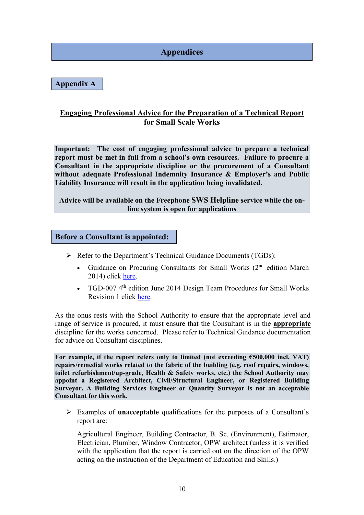# **Appendices**

**Appendix A**

# **Engaging Professional Advice for the Preparation of a Technical Report for Small Scale Works**

**Important: The cost of engaging professional advice to prepare a technical report must be met in full from a school's own resources. Failure to procure a Consultant in the appropriate discipline or the procurement of a Consultant without adequate Professional Indemnity Insurance & Employer's and Public Liability Insurance will result in the application being invalidated.**

#### **Advice will be available on the Freephone SWS Helpline service while the online system is open for applications**

#### **Before a Consultant is appointed:**

- $\triangleright$  Refer to the Department's Technical Guidance Documents (TGDs):
	- Guidance on Procuring Consultants for Small Works  $(2<sup>nd</sup>$  edition March 2014) click [here.](http://www.education.ie/en/School-Design/Appointment-of-Consultants/PBU_DTP_Guidance_Procuring_consultants_Small_Work_-Sep_2013.docx)
	- TGD-007 4<sup>th</sup> edition June 2014 Design Team Procedures for Small Works Revision 1 click [here.](http://www.education.ie/en/School-Design/Technical-Guidance-Documents/pbu_tgd_007_4th_edition_2014_rev1.doc)

As the onus rests with the School Authority to ensure that the appropriate level and range of service is procured, it must ensure that the Consultant is in the **appropriate** discipline for the works concerned. Please refer to Technical Guidance documentation for advice on Consultant disciplines.

For example, if the report refers only to limited (not exceeding  $\epsilon$ 500,000 incl. VAT) **repairs/remedial works related to the fabric of the building (e.g. roof repairs, windows, toilet refurbishment/up-grade, Health & Safety works, etc.) the School Authority may appoint a Registered Architect, Civil/Structural Engineer, or Registered Building Surveyor. A Building Services Engineer or Quantity Surveyor is not an acceptable Consultant for this work.**

 Examples of **unacceptable** qualifications for the purposes of a Consultant's report are:

Agricultural Engineer, Building Contractor, B. Sc. (Environment), Estimator, Electrician, Plumber, Window Contractor, OPW architect (unless it is verified with the application that the report is carried out on the direction of the OPW acting on the instruction of the Department of Education and Skills.)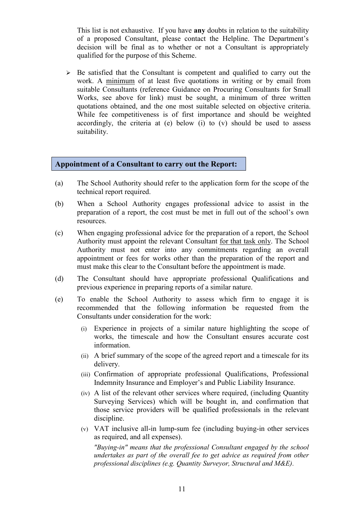This list is not exhaustive. If you have **any** doubts in relation to the suitability of a proposed Consultant, please contact the Helpline. The Department's decision will be final as to whether or not a Consultant is appropriately qualified for the purpose of this Scheme.

 $\triangleright$  Be satisfied that the Consultant is competent and qualified to carry out the work. A minimum of at least five quotations in writing or by email from suitable Consultants (reference Guidance on Procuring Consultants for Small Works, see above for link) must be sought, a minimum of three written quotations obtained, and the one most suitable selected on objective criteria. While fee competitiveness is of first importance and should be weighted accordingly, the criteria at (e) below (i) to (v) should be used to assess suitability.

#### **Appointment of a Consultant to carry out the Report:**

- (a) The School Authority should refer to the application form for the scope of the technical report required.
- (b) When a School Authority engages professional advice to assist in the preparation of a report, the cost must be met in full out of the school's own resources.
- (c) When engaging professional advice for the preparation of a report, the School Authority must appoint the relevant Consultant for that task only. The School Authority must not enter into any commitments regarding an overall appointment or fees for works other than the preparation of the report and must make this clear to the Consultant before the appointment is made.
- (d) The Consultant should have appropriate professional Qualifications and previous experience in preparing reports of a similar nature.
- (e) To enable the School Authority to assess which firm to engage it is recommended that the following information be requested from the Consultants under consideration for the work:
	- (i) Experience in projects of a similar nature highlighting the scope of works, the timescale and how the Consultant ensures accurate cost information.
	- (ii) A brief summary of the scope of the agreed report and a timescale for its delivery.
	- (iii) Confirmation of appropriate professional Qualifications, Professional Indemnity Insurance and Employer's and Public Liability Insurance.
	- (iv) A list of the relevant other services where required, (including Quantity Surveying Services) which will be bought in, and confirmation that those service providers will be qualified professionals in the relevant discipline.
	- (v) VAT inclusive all-in lump-sum fee (including buying-in other services as required, and all expenses).

 *"Buying-in" means that the professional Consultant engaged by the school undertakes as part of the overall fee to get advice as required from other professional disciplines (e.g. Quantity Surveyor, Structural and M&E).*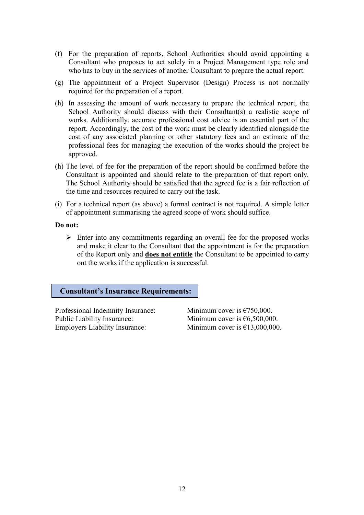- (f) For the preparation of reports, School Authorities should avoid appointing a Consultant who proposes to act solely in a Project Management type role and who has to buy in the services of another Consultant to prepare the actual report.
- (g) The appointment of a Project Supervisor (Design) Process is not normally required for the preparation of a report.
- (h) In assessing the amount of work necessary to prepare the technical report, the School Authority should discuss with their Consultant(s) a realistic scope of works. Additionally, accurate professional cost advice is an essential part of the report. Accordingly, the cost of the work must be clearly identified alongside the cost of any associated planning or other statutory fees and an estimate of the professional fees for managing the execution of the works should the project be approved.
- (h) The level of fee for the preparation of the report should be confirmed before the Consultant is appointed and should relate to the preparation of that report only. The School Authority should be satisfied that the agreed fee is a fair reflection of the time and resources required to carry out the task.
- (i) For a technical report (as above) a formal contract is not required. A simple letter of appointment summarising the agreed scope of work should suffice.

#### **Do not:**

 $\triangleright$  Enter into any commitments regarding an overall fee for the proposed works and make it clear to the Consultant that the appointment is for the preparation of the Report only and **does not entitle** the Consultant to be appointed to carry out the works if the application is successful.

#### **Consultant's Insurance Requirements:**

Professional Indemnity Insurance: Minimum cover is  $\epsilon$ 750,000. Public Liability Insurance: Minimum cover is €6,500,000. Employers Liability Insurance: Minimum cover is  $£13,000,000$ .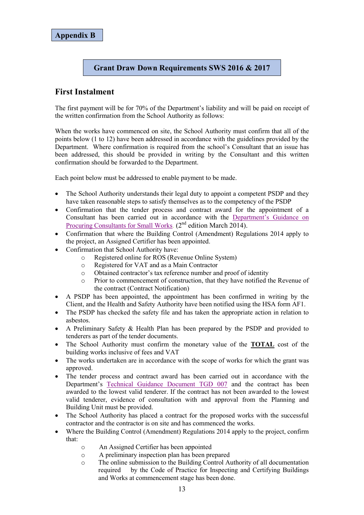## **Grant Draw Down Requirements SWS 2016 & 2017**

# **First Instalment**

The first payment will be for 70% of the Department's liability and will be paid on receipt of the written confirmation from the School Authority as follows:

When the works have commenced on site, the School Authority must confirm that all of the points below (1 to 12) have been addressed in accordance with the guidelines provided by the Department. Where confirmation is required from the school's Consultant that an issue has been addressed, this should be provided in writing by the Consultant and this written confirmation should be forwarded to the Department.

Each point below must be addressed to enable payment to be made.

- The School Authority understands their legal duty to appoint a competent PSDP and they have taken reasonable steps to satisfy themselves as to the competency of the PSDP
- Confirmation that the tender process and contract award for the appointment of a Consultant has been carried out in accordance with the [Department's Guidance on](http://www.education.ie/en/School-Design/Appointment-of-Consultants/PBU_DTP_Guidance_Procuring_consultants_Small_Work_-Sep_2013.docx)  [Procuring Consultants for Small Works.](http://www.education.ie/en/School-Design/Appointment-of-Consultants/PBU_DTP_Guidance_Procuring_consultants_Small_Work_-Sep_2013.docx)  $(2^{nd}$  edition March  $2\overline{014}$ .
- Confirmation that where the Building Control (Amendment) Regulations 2014 apply to the project, an Assigned Certifier has been appointed.
- Confirmation that School Authority have:
	- o Registered online for ROS (Revenue Online System)
	- o Registered for VAT and as a Main Contractor
	- o Obtained contractor's tax reference number and proof of identity
	- o Prior to commencement of construction, that they have notified the Revenue of the contract (Contract Notification)
- A PSDP has been appointed, the appointment has been confirmed in writing by the Client, and the Health and Safety Authority have been notified using the HSA form AF1.
- The PSDP has checked the safety file and has taken the appropriate action in relation to asbestos.
- A Preliminary Safety & Health Plan has been prepared by the PSDP and provided to tenderers as part of the tender documents.
- The School Authority must confirm the monetary value of the **TOTAL** cost of the building works inclusive of fees and VAT
- The works undertaken are in accordance with the scope of works for which the grant was approved.
- The tender process and contract award has been carried out in accordance with the Department's [Technical Guidance Document TGD](http://www.education.ie/en/School-Design/Technical-Guidance-Documents/pbu_tgd_007_4th_edition_2014_rev1.doc) 007 and the contract has been awarded to the lowest valid tenderer. If the contract has not been awarded to the lowest valid tenderer, evidence of consultation with and approval from the Planning and Building Unit must be provided.
- The School Authority has placed a contract for the proposed works with the successful contractor and the contractor is on site and has commenced the works.
- Where the Building Control (Amendment) Regulations 2014 apply to the project, confirm that:
	- o An Assigned Certifier has been appointed
	- o A preliminary inspection plan has been prepared
	- o The online submission to the Building Control Authority of all documentation required by the Code of Practice for Inspecting and Certifying Buildings and Works at commencement stage has been done.